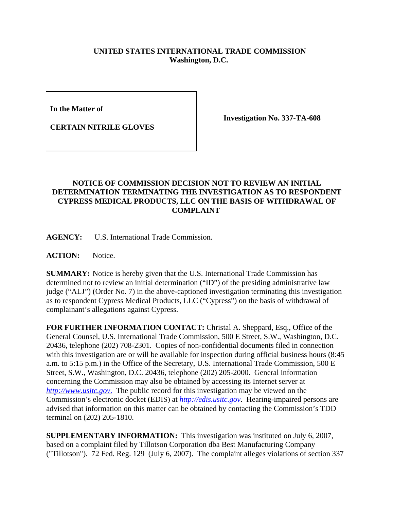## **UNITED STATES INTERNATIONAL TRADE COMMISSION Washington, D.C.**

**In the Matter of** 

**CERTAIN NITRILE GLOVES**

**Investigation No. 337-TA-608**

## **NOTICE OF COMMISSION DECISION NOT TO REVIEW AN INITIAL DETERMINATION TERMINATING THE INVESTIGATION AS TO RESPONDENT CYPRESS MEDICAL PRODUCTS, LLC ON THE BASIS OF WITHDRAWAL OF COMPLAINT**

**AGENCY:** U.S. International Trade Commission.

**ACTION:** Notice.

**SUMMARY:** Notice is hereby given that the U.S. International Trade Commission has determined not to review an initial determination ("ID") of the presiding administrative law judge ("ALJ") (Order No. 7) in the above-captioned investigation terminating this investigation as to respondent Cypress Medical Products, LLC ("Cypress") on the basis of withdrawal of complainant's allegations against Cypress.

**FOR FURTHER INFORMATION CONTACT:** Christal A. Sheppard, Esq., Office of the General Counsel, U.S. International Trade Commission, 500 E Street, S.W., Washington, D.C. 20436, telephone (202) 708-2301. Copies of non-confidential documents filed in connection with this investigation are or will be available for inspection during official business hours (8:45) a.m. to 5:15 p.m.) in the Office of the Secretary, U.S. International Trade Commission, 500 E Street, S.W., Washington, D.C. 20436, telephone (202) 205-2000. General information concerning the Commission may also be obtained by accessing its Internet server at *http://www.usitc.gov*. The public record for this investigation may be viewed on the Commission's electronic docket (EDIS) at *http://edis.usitc.gov*. Hearing-impaired persons are advised that information on this matter can be obtained by contacting the Commission's TDD terminal on (202) 205-1810.

**SUPPLEMENTARY INFORMATION:** This investigation was instituted on July 6, 2007, based on a complaint filed by Tillotson Corporation dba Best Manufacturing Company ("Tillotson"). 72 Fed. Reg. 129 (July 6, 2007). The complaint alleges violations of section 337